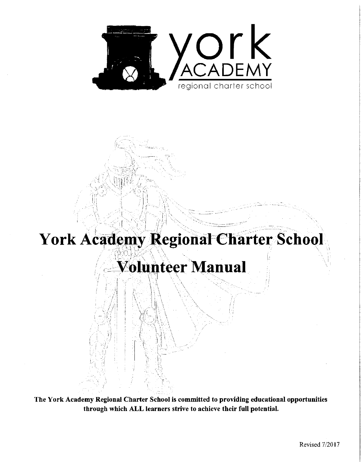

# York Academy Regional Charter School

## **Volunteer Manual**

The York Academy Regional Charter School is committed to providing educational opportunities through which ALL learners strive to achieve their full potential.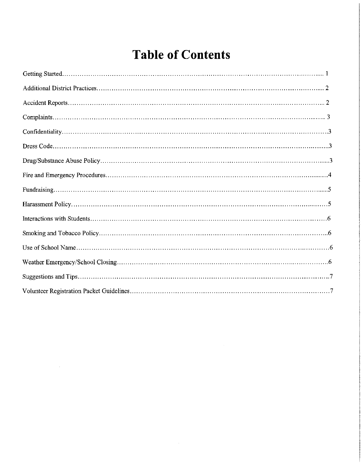## **Table of Contents**

 $\bar{\beta}$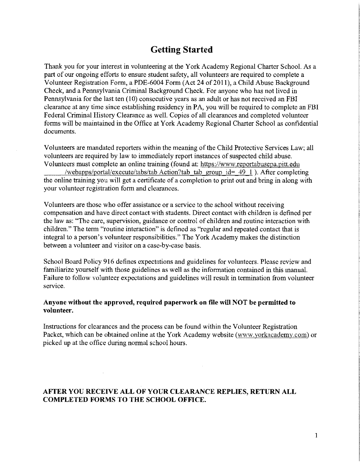### **Getting Started**

Thank you for your interest in volunteering at the York Academy Regional Charter School. As a part of our ongoing efforts to ensure student safety, all volunteers are required to complete a Volunteer Registration Form, a PDE-6004 Form (Act 24 of 2011), a Child Abuse Background Check, and a Pennsylvania Criminal Background Check. For anyone who has not lived in Pennsylvania for the last ten (10) consecutive years as an adult or has not received an FBI clearance at any time since establishing residency in PA, you will be required to complete an FBI Federal Criminal History Clearance as well. Copies of all clearances and completed volunteer forms will be maintained in the Office at York Academy Regional Charter School as confidential documents.

Volunteers are mandated reporters within the meaning of the Child Protective Services Law; all volunteers are required by law to immediately report instances of suspected child abuse. Volunteers must complete an online training (found at: https://www.reportabusepa.pitt.edu /webapps/portal/execute/tabs/tab Action?tab tab group id= 49 1 ). After completing the online training you will get a certificate of a completion to print out and bring in along with your volunteer registration form and clearances.

Volunteers are those who offer assistance or a service to the school without receiving compensation and have direct contact with students. Direct contact with children is defined per the law as: 'The care, supervision, guidance or control of children and routine interaction with children." The term "routine interaction" is defined as "regular and repeated contact that is integral to a person's volunteer responsibilities." The York Academy makes the distinction between a volunteer and visitor on a case-by-case basis.

School Board Policy 916 defines expectations and guidelines for volunteers. Please review and familiarize yourself with those guidelines as well as the information contained in this manual. Failure to follow volunteer expectations and guidelines will result in termination from volunteer service.

#### **Anyone without the approved, required paperwork on file will NOT be permitted to volunteer.**

Instructions for clearances and the process can be found within the Volunteer Registration Packet, which can be obtained online at the York Academy website (www.yorkacademy.com) or picked up at the office during normal school hours.

#### **AFTER YOU RECEIVE ALL OF YOUR CLEARANCE REPLIES, RETURN ALL COMPLETED FORMS TO THE SCHOOL OFFICE.**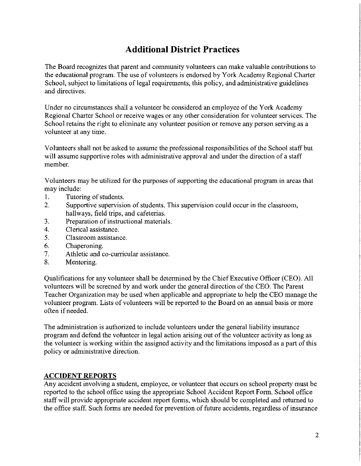## **Additional District Practices**

The Board recognizes that parent and connnunity volunteers can make valuable contributions to the educational program. The use of volunteers is endorsed by York Academy Regional Charter School, subject to limitations of legal requirements, this policy, and administrative guidelines and directives.

Under no circumstances shall a volunteer be considered an employee of the York Academy Regional Charter School or receive wages or any other consideration for volunteer services. The School retains the right to eliminate any volunteer position or remove any person serving as a volunteer at any time.

Volunteers shall not be asked to assume the professional responsibilities of the School staff but will assume supportive roles with administrative approval and under the direction of a staff member.

Volunteers may be utilized for the purposes of supporting the educational program in areas that may include:

- 1. Tutoring of students.
- 2. Supportive supervision of students. This supervision could occur in the classroom, hallways, field trips, and cafeterias.
- 3. Preparation of instructional materials.
- 4. Clerical assistance.
- 5. Classroom assistance.
- 6. Chaperoning.
- 7. Athletic and co-curricular assistance.
- 8. Mentoring.

Qualifications for any volunteer shall be determined by the Chief Executive Officer (CEO). All volunteers will be screened by and work under the general direction of the CEO. The Parent Teacher Organization may be used when applicable and appropriate to help the CEO manage the volunteer program. Lists of volunteers will be reported to the Board on an annual basis or more often if needed.

The administration is authorized to include volunteers under the general liability insurance program and defend the volunteer in legal action arising out of the volunteer activity as long as the volunteer is working within the assigned activity and the limitations imposed as a part of this policy or administrative direction.

#### **ACCIDENT REPORTS**

Any accident involving a student, employee, or volunteer that occurs on school property must be reported to the school office using the appropriate School Accident Report Form. School office staff will provide appropriate accident report forms, which should be completed and returned to the office staff. Such forms are needed for prevention of future accidents, regardless of insurance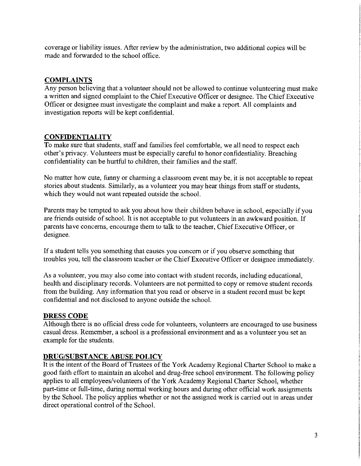coverage or liability issues. After review by the administration, two additional copies will be made and forwarded to the school office.

#### **COMPLAINTS**

Any person believing that a volunteer should not be allowed to continue volunteering must make a written and signed complaint to the Chief Executive Officer or designee. The Chief Executive Officer or designee must investigate the complaint and make a report. All complaints and investigation reports will be kept confidential.

#### **CONFIDENTIALITY**

To make sure that students, staff and families feel comfortable, we all need to respect each other's privacy. Volunteers must be especially careful to honor confidentiality. Breaching confidentiality can be hurtful to children, their families and the staff.

No matter how cute, funny or charming a classroom event may be, it is not acceptable to repeat stories about students. Similarly, as a volunteer you may hear things from staff or students, which they would not want repeated outside the school.

Parents may be tempted to ask you about how their children behave in school, especially if you are friends outside of school. It is not acceptable to put volunteers in an awkward position. If parents have concerns, encourage them to talk to the teacher, Chief Executive Officer, or designee.

If a student tells you something that causes you concern or if you observe something that troubles you, tell the classroom teacher or the Chief Executive Officer or designee immediately.

As a volunteer, you may also come into contact with student records, including educational, health and disciplinary records. Volunteers are not permitted to copy or remove student records from the building. Any information that you read or observe in a student record must be kept confidential and not disclosed to anyone outside the school.

#### **DRESS CODE**

Although there is no official dress code for volunteers, volunteers are encouraged to use business casual dress. Remember, a school is a professional environment and as a volunteer you set an example for the students.

#### **DRUG/SUBSTANCE ABUSE POLICY**

It is the intent of the Board of Trustees of the York Academy Regional Charter School to make a good faith effort to maintain an alcohol and drug-free school environment. The following policy applies to all employees/volunteers of the York Academy Regional Charter School, whether part-time or full-time, during normal working hours and during other official work assignments by the School. The policy applies whether or not the assigned work is carried out in areas under direct operational control of the School.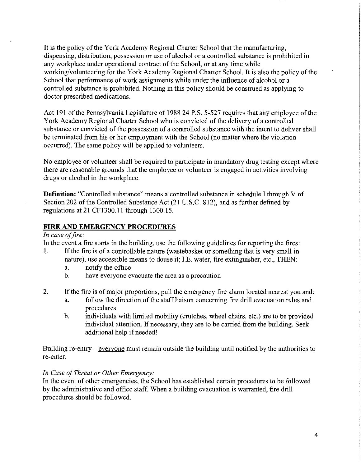It is the policy of the York Academy Regional Charter School that the manufacturing, dispensing, distribution, possession or use of alcohol or a controlled substance is prohibited in any workplace under operational contract of the School, or at any time while working/volunteering for the York Academy Regional Charter School. It is also the policy of the School that performance of work assignments while under the influence of alcohol or a controlled substance is prohibited. Nothing in this policy should be construed as applying to doctor prescribed medications.

Act 191 of the Pennsylvania Legislature of 1988 24 P.S. 5-527 requires that any employee of the York Academy Regional Charter School who is convicted of the delivery of a controlled substance or convicted of the possession of a controlled substance with the intent to deliver shall be terminated from his or her employment with the School (no matter where the violation occurred). The same policy will be applied to volunteers.

No employee or volunteer shall be required to participate in mandatory drug testing except where there are reasonable grounds that the employee or volunteer is engaged in activities involving drugs or alcohol in the workplace.

**Definition:** "Controlled substance" means a controlled substance in schedule I through V of Section 202 of the Controlled Substance Act (21 U.S.C. 812), and as further defined by regulations at 21 CF1300.ll through 1300.15.

#### **FIRE AND EMERGENCY PROCEDURES**

#### *In case of fire:*

In the event a fire starts in the building, use the following guidelines for reporting the fires:

- 1. If the fire is of a controllable nature (wastebasket or something that is very small in nature), use accessible means to douse it; I.E. water, fire extinguisher, etc., **THEN:** 
	- a. notify the office
	- b. have everyone evacuate the area as **a** precaution
- 2. If the fire is of major proportions, pull the emergency fire alarm located nearest you and:
	- a. follow the direction of the staff liaison concerning fire drill evacuation rules and procedures
	- b. individuals with limited mobility (crutches, wheel chairs, etc.) are to be provided individual attention. If necessary, they are to be carried from the building. Seek additional help if needed!

Building re-entry - everyone must remain outside the building until notified by the authorities to re-enter.

#### *In Case of Threat or Other Emergency:*

In the event of other emergencies, the School has established certain procedures to be followed by the administrative and office staff. When a building evacuation is warranted, fire drill procedures should be followed.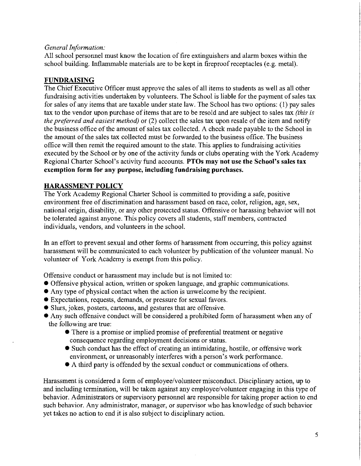#### *General Information:*

All school personnel must know the location of fire extinguishers and alarm boxes within the school building. Inflammable materials are to be kept in fireproof receptacles (e.g. metal).

#### **FUNDRAISING**

The Chief Executive Officer must approve the sales of all items to students as well as all other fundraising activities undertaken by volunteers. The School is liable for the payment of sales tax for sales of any items that are taxable under state law. The School has two options: (1) pay sales tax to the vendor upon purchase of items that are to be resold and are subject to sales tax *(this is the preferred and easiest method)* or (2) collect the sales tax upon resale of the item and notify the business office of the amount of sales tax collected. A check made payable to the School in the amount of the sales tax collected must be forwarded to the business office. The business office will then remit the required amount to the state. This applies to fundraising activities executed by the School or by one of the activity funds or clubs operating with the York Academy Regional Charter School's activity fund accounts. **PTOs may not use the School's sales tax exemption form for any purpose, including fundraising purchases.** 

#### **HARASSMENT POLICY**

The York Academy Regional Charter School is committed to providing a safe, positive environment free of discrimination and harassment based on race, color, religion, age, sex, national origin, disability, or any other protected status. Offensive or harassing behavior will not be tolerated against anyone. This policy covers all students, staff members, contracted individuals, vendors, and volunteers in the school.

In an effort to prevent sexual and other forms of harassment from occurring, this policy against harassment will be communicated to each volunteer by publication of the volunteer manual. No volunteer of York Academy is exempt from this policy.

Offensive conduct or harassment may include but is not limited to:

- Offensive physical action, written or spoken language, and graphic communications.
- Any type of physical contact when the action is unwelcome by the recipient.
- Expectations, requests, demands, or pressure for sexual favors.
- Slurs, jokes, posters, cartoons, and gestures that are offensive.
- Any such offensive conduct will be considered a prohibited form of harassment when any of the following are true:
	- There is a promise or implied promise of preferential treatment or negative consequence regarding employment decisions or status.
	- Such conduct has the effect of creating an intimidating, hostile, or offensive work environment, or umeasonably interferes with a person's work performance.
	- A third party is offended by the sexual conduct or communications of others.

Harassment is considered a form of employee/volunteer misconduct. Disciplinary action, up to and including termination, will be taken against any employee/volunteer engaging in this type of behavior. Administrators or supervisory personnel are responsible for taking proper action to end such behavior. Any administrator, manager, or supervisor who has knowledge of such behavior yet takes no action to end it is also subject to disciplinary action.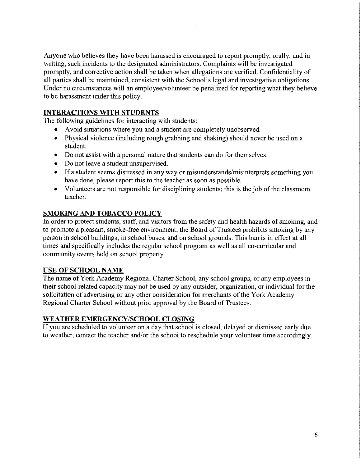Anyone who believes they have been harassed is encouraged to report promptly, orally, and in writing, such incidents to the designated administrators. Complaints will be investigated promptly, and corrective action shall be taken when allegations are verified. Confidentiality of all parties shall be maintained, consistent with the School's legal and investigative obligations. Under no circumstances will an employee/volunteer be penalized for reporting what they believe to be harassment under this policy.

#### **INTERACTIONS WITH STUDENTS**

The following guidelines for interacting with students:

- Avoid situations where you and a student are completely unobserved.
- Physical violence (including rough grabbing and shaking) should never be used on a student.
- Do not assist with a personal nature that students can do for themselves.
- Do not leave a student unsupervised.
- If a student seems distressed in any way or misunderstands/misinterprets something you have done, please report this to the teacher as soon as possible.
- Volunteers are not responsible for disciplining students; this is the job of the classroom teacher.

#### **SMOKING AND TOBACCO POLICY**

In order to protect students, staff, and visitors from the safety and health hazards of smoking, and to promote a pleasant, smoke-free environment, the Board of Trustees prohibits smoking by any person in school buildings, in school buses, and on school grounds. This ban is in effect at all times and specifically includes the regular school program as well as all co-curricular and community events held on school property.

#### **USE OF SCHOOL NAME**

The name of York Academy Regional Charter School, any school groups, or any employees in their school-related capacity may not be used by any outsider, organization, or individual for the solicitation of advertising or any other consideration for merchants of the York Academy Regional Charter School without prior approval by the Board of Trustees.

#### **WEATHER EMERGENCY/SCHOOL CLOSING**

If you are scheduled to volunteer on a day that school is closed, delayed or dismissed early due to weather, contact the teacher and/or the school to reschedule your volunteer time accordingly.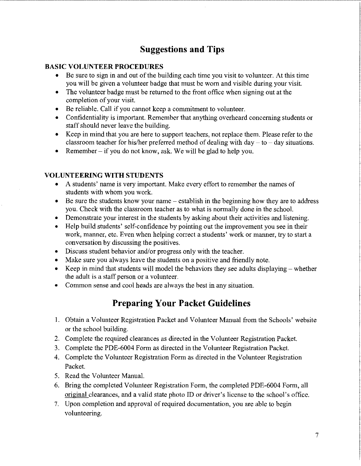## **Suggestions and Tips**

#### **BASIC VOLUNTEER PROCEDURES**

- Be sure to sign in and out of the building each time you visit to volunteer. At this time you will be given a volunteer badge that must be worn and visible during your visit.
- The volunteer badge must be returned to the front office when signing out at the completion of your visit.
- Be reliable. Call if you cannot keep a commitment to volunteer.
- Confidentiality is important. Remember that anything overheard concerning students or staff should never leave the building.
- Keep in mind that you are here to support teachers, not replace them. Please refer to the classroom teacher for his/her preferred method of dealing with day  $-$  to  $-$  day situations.
- Remember  $-$  if you do not know, ask. We will be glad to help you.

#### **VOLUNTEERING WITH STUDENTS**

- A students' name is very important. Make every effort to remember the names of students with whom you work.
- Be sure the students know your name establish in the beginning how they are to address you. Check with the classroom teacher as to what is normally done in the school.
- Demonstrate your interest in the students by asking about their activities and listening.
- Help build students' self-confidence by pointing out the improvement you see in their work, manner, etc. Even when helping correct a students' work or manner, try to start a conversation by discussing the positives.
- Discuss student behavior and/or progress only with the teacher.
- Make sure you always leave the students on a positive and friendly note.
- Keep in mind that students will model the behaviors they see adults displaying  $-$  whether the adult is a staff person or a volunteer.
- Common sense and cool heads are always the best in any situation.

### **Preparing Your Packet Guidelines**

- 1. Obtain a Volunteer Registration Packet and Volunteer Manual from the Schools' website or the school building.
- 2. Complete the required clearances as directed in the Volunteer Registration Packet.
- 3. Complete the PDE-6004 Form as directed in the Volunteer Registration Packet.
- 4. Complete the Volunteer Registration Form as directed in the Volunteer Registration Packet.
- 5. Read the Volunteer Manual.
- 6. Bring the completed Volunteer Registration Form, the completed PDE-6004 Form, all original clearances, and a valid state photo ID or driver's license to the school's office.
- 7. Upon completion and approval of required documentation, you are able to begin volunteering.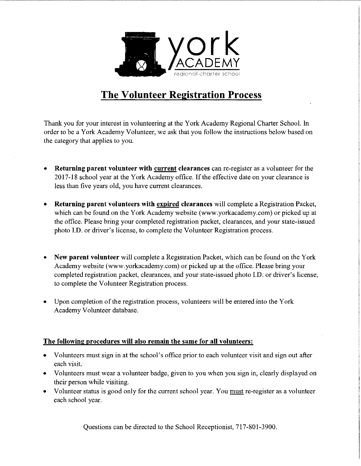

## **The Volunteer Registration Process**

Thank you for your interest in volunteering at the York Academy Regional Charter School. In order to be a York Academy Volunteer, we ask that you follow the instructions below based on the category that applies to you.

- **Returning parent volunteer with current clearances** can re-register as a volunteer for the 2017-18 school year at the York Academy office. If the effective date on your clearance is less than five years old, you have current clearances.
- **Returning parent volunteers with expired clearances** will complete a Registration Packet, which can be found on the York Academy website (www.yorkacademy.com) or picked up at the office. Please bring your completed registration packet, clearances, and your state-issued photo I.D. or driver's license, to complete the Volunteer Registration process.
- **New parent volunteer** will complete a Registration Packet, which can be found on the York Academy website (www.yorkacademy.com) or picked up at the office. Please bring your completed registration packet, clearances, and your state-issued photo I.D. or driver's license, to complete the Volunteer Registration process.
- Upon completion of the registration process, volunteers will be entered into the York Academy Volunteer database.

#### **The following procedures will also remain the same for all volunteers:**

- Volunteers must sign in at the school's office prior to each volunteer visit and sign out after each visit.
- Volunteers must wear a volunteer badge, given to you when you sign in, clearly displayed on their person while visiting.
- Volunteer status is good only for the current school year. You must re-register as a volunteer each school year.

Questions can be directed to the School Receptionist, 717-801-3900.